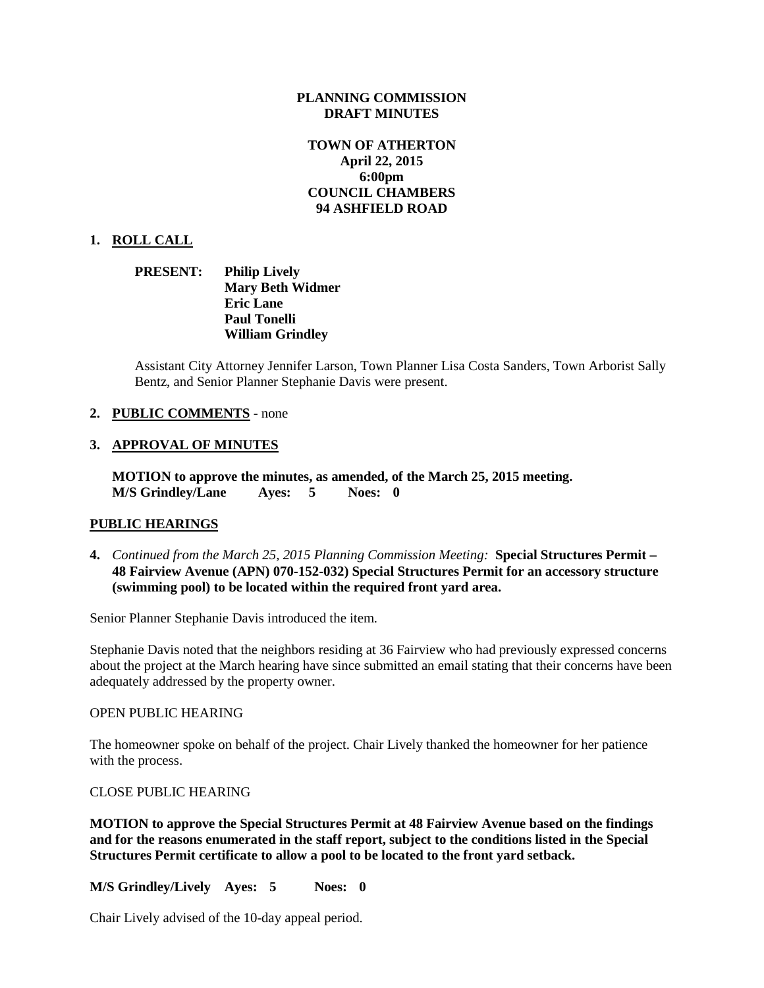### **PLANNING COMMISSION DRAFT MINUTES**

# **TOWN OF ATHERTON April 22, 2015 6:00pm COUNCIL CHAMBERS 94 ASHFIELD ROAD**

## **1. ROLL CALL**

**PRESENT: Philip Lively Mary Beth Widmer Eric Lane Paul Tonelli William Grindley**

Assistant City Attorney Jennifer Larson, Town Planner Lisa Costa Sanders, Town Arborist Sally Bentz, and Senior Planner Stephanie Davis were present.

## **2. PUBLIC COMMENTS** - none

## **3. APPROVAL OF MINUTES**

**MOTION to approve the minutes, as amended, of the March 25, 2015 meeting. M/S Grindley/Lane Ayes: 5 Noes: 0**

## **PUBLIC HEARINGS**

**4.** *Continued from the March 25, 2015 Planning Commission Meeting:* **Special Structures Permit – 48 Fairview Avenue (APN) 070-152-032) Special Structures Permit for an accessory structure (swimming pool) to be located within the required front yard area.**

Senior Planner Stephanie Davis introduced the item.

Stephanie Davis noted that the neighbors residing at 36 Fairview who had previously expressed concerns about the project at the March hearing have since submitted an email stating that their concerns have been adequately addressed by the property owner.

#### OPEN PUBLIC HEARING

The homeowner spoke on behalf of the project. Chair Lively thanked the homeowner for her patience with the process.

#### CLOSE PUBLIC HEARING

**MOTION to approve the Special Structures Permit at 48 Fairview Avenue based on the findings and for the reasons enumerated in the staff report, subject to the conditions listed in the Special Structures Permit certificate to allow a pool to be located to the front yard setback.**

**M/S Grindley/Lively Ayes: 5 Noes: 0**

Chair Lively advised of the 10-day appeal period.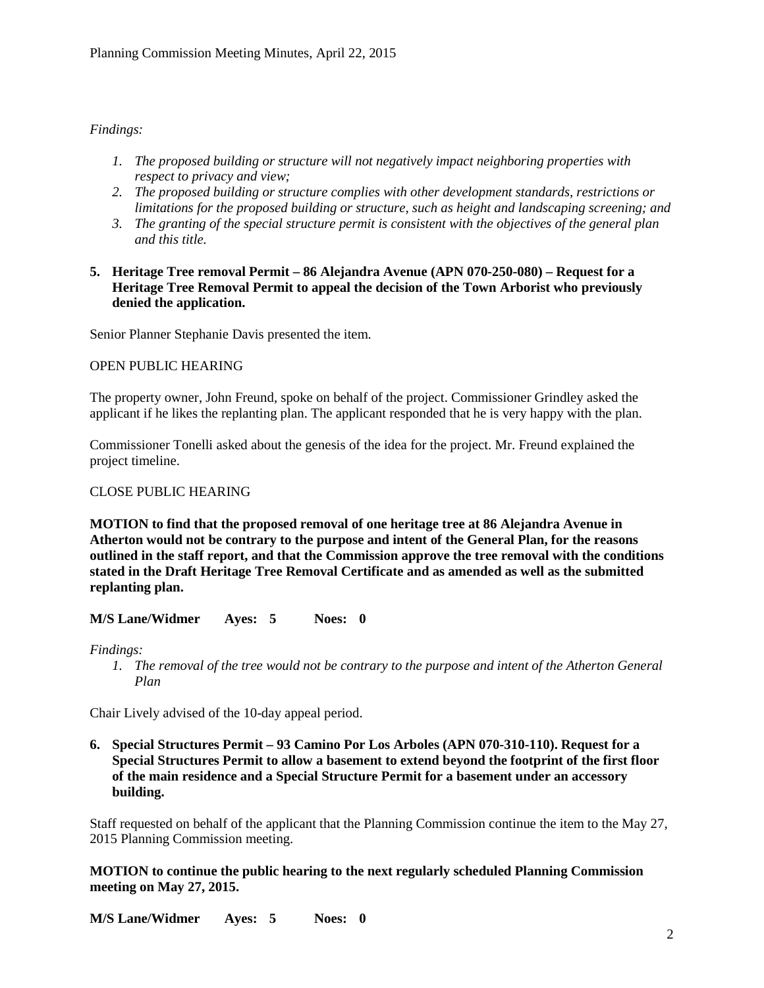# *Findings:*

- *1. The proposed building or structure will not negatively impact neighboring properties with respect to privacy and view;*
- *2. The proposed building or structure complies with other development standards, restrictions or limitations for the proposed building or structure, such as height and landscaping screening; and*
- *3. The granting of the special structure permit is consistent with the objectives of the general plan and this title.*
- **5. Heritage Tree removal Permit – 86 Alejandra Avenue (APN 070-250-080) – Request for a Heritage Tree Removal Permit to appeal the decision of the Town Arborist who previously denied the application.**

Senior Planner Stephanie Davis presented the item.

## OPEN PUBLIC HEARING

The property owner, John Freund, spoke on behalf of the project. Commissioner Grindley asked the applicant if he likes the replanting plan. The applicant responded that he is very happy with the plan.

Commissioner Tonelli asked about the genesis of the idea for the project. Mr. Freund explained the project timeline.

#### CLOSE PUBLIC HEARING

**MOTION to find that the proposed removal of one heritage tree at 86 Alejandra Avenue in Atherton would not be contrary to the purpose and intent of the General Plan, for the reasons outlined in the staff report, and that the Commission approve the tree removal with the conditions stated in the Draft Heritage Tree Removal Certificate and as amended as well as the submitted replanting plan.**

**M/S Lane/Widmer Ayes: 5 Noes: 0**

*Findings:*

*1. The removal of the tree would not be contrary to the purpose and intent of the Atherton General Plan*

Chair Lively advised of the 10-day appeal period.

**6. Special Structures Permit – 93 Camino Por Los Arboles (APN 070-310-110). Request for a Special Structures Permit to allow a basement to extend beyond the footprint of the first floor of the main residence and a Special Structure Permit for a basement under an accessory building.**

Staff requested on behalf of the applicant that the Planning Commission continue the item to the May 27, 2015 Planning Commission meeting.

**MOTION to continue the public hearing to the next regularly scheduled Planning Commission meeting on May 27, 2015.**

**M/S Lane/Widmer Ayes: 5 Noes: 0**